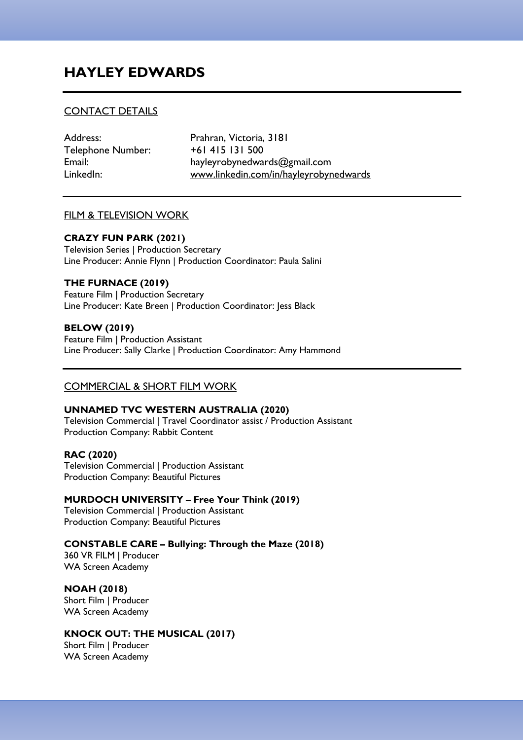# **HAYLEY EDWARDS**

# CONTACT DETAILS

Telephone Number: +61 415 131 500

Address: Prahran, Victoria, 3181 Email: hayleyrobynedwards@gmail.com LinkedIn: www.linkedin.com/in/hayleyrobynedwards

### FILM & TELEVISION WORK

### **CRAZY FUN PARK (2021)**

Television Series | Production Secretary Line Producer: Annie Flynn | Production Coordinator: Paula Salini

# **THE FURNACE (2019)**

Feature Film | Production Secretary Line Producer: Kate Breen | Production Coordinator: Jess Black

# **BELOW (2019)**

Feature Film | Production Assistant Line Producer: Sally Clarke | Production Coordinator: Amy Hammond

# COMMERCIAL & SHORT FILM WORK

### **UNNAMED TVC WESTERN AUSTRALIA (2020)**

Television Commercial | Travel Coordinator assist / Production Assistant Production Company: Rabbit Content

### **RAC (2020)** Television Commercial | Production Assistant Production Company: Beautiful Pictures

# **MURDOCH UNIVERSITY – Free Your Think (2019)**

Television Commercial | Production Assistant Production Company: Beautiful Pictures

# **CONSTABLE CARE – Bullying: Through the Maze (2018)**

360 VR FILM | Producer WA Screen Academy

# **NOAH (2018)**

Short Film | Producer WA Screen Academy

# **KNOCK OUT: THE MUSICAL (2017)**

Short Film | Producer WA Screen Academy